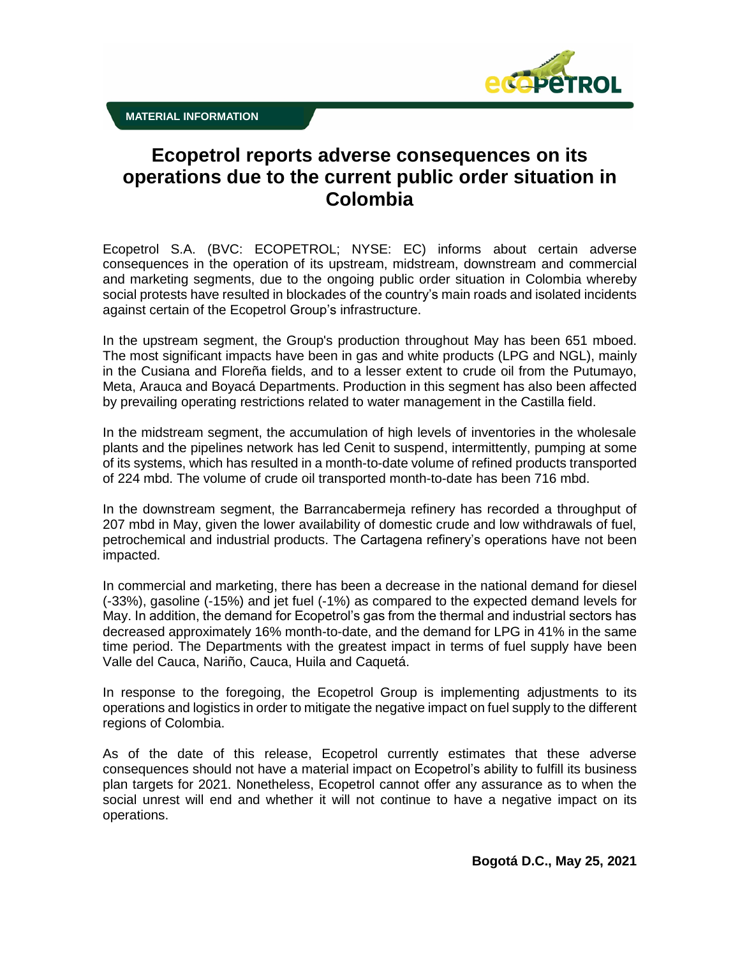

## **Ecopetrol reports adverse consequences on its operations due to the current public order situation in Colombia**

Ecopetrol S.A. (BVC: ECOPETROL; NYSE: EC) informs about certain adverse consequences in the operation of its upstream, midstream, downstream and commercial and marketing segments, due to the ongoing public order situation in Colombia whereby social protests have resulted in blockades of the country's main roads and isolated incidents against certain of the Ecopetrol Group's infrastructure.

In the upstream segment, the Group's production throughout May has been 651 mboed. The most significant impacts have been in gas and white products (LPG and NGL), mainly in the Cusiana and Floreña fields, and to a lesser extent to crude oil from the Putumayo, Meta, Arauca and Boyacá Departments. Production in this segment has also been affected by prevailing operating restrictions related to water management in the Castilla field.

In the midstream segment, the accumulation of high levels of inventories in the wholesale plants and the pipelines network has led Cenit to suspend, intermittently, pumping at some of its systems, which has resulted in a month-to-date volume of refined products transported of 224 mbd. The volume of crude oil transported month-to-date has been 716 mbd.

In the downstream segment, the Barrancabermeja refinery has recorded a throughput of 207 mbd in May, given the lower availability of domestic crude and low withdrawals of fuel, petrochemical and industrial products. The Cartagena refinery's operations have not been impacted.

In commercial and marketing, there has been a decrease in the national demand for diesel (-33%), gasoline (-15%) and jet fuel (-1%) as compared to the expected demand levels for May. In addition, the demand for Ecopetrol's gas from the thermal and industrial sectors has decreased approximately 16% month-to-date, and the demand for LPG in 41% in the same time period. The Departments with the greatest impact in terms of fuel supply have been Valle del Cauca, Nariño, Cauca, Huila and Caquetá.

In response to the foregoing, the Ecopetrol Group is implementing adjustments to its operations and logistics in order to mitigate the negative impact on fuel supply to the different regions of Colombia.

As of the date of this release, Ecopetrol currently estimates that these adverse consequences should not have a material impact on Ecopetrol's ability to fulfill its business plan targets for 2021. Nonetheless, Ecopetrol cannot offer any assurance as to when the social unrest will end and whether it will not continue to have a negative impact on its operations.